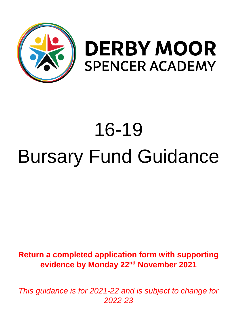

## **DERBY MOOR SPENCER ACADEMY**

# 16-19 Bursary Fund Guidance

### **Return a completed application form with supporting evidence by Monday 22nd November 2021**

*This guidance is for 2021-22 and is subject to change for 2022-23*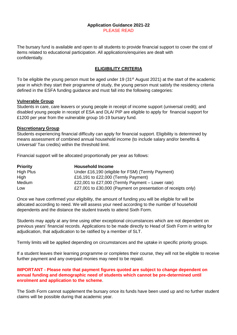#### **Application Guidance 2021-22** PLEASE READ

The bursary fund is available and open to all students to provide financial support to cover the cost of items related to educational participation. All applications/enquiries are dealt with confidentially.

#### **ELIGIBILITY CRITERIA**

To be eligible the young person must be aged under 19 (31<sup>st</sup> August 2021) at the start of the academic year in which they start their programme of study, the young person must satisfy the residency criteria defined in the ESFA funding guidance and must fall into the following categories:

#### **Vulnerable Group**

Students in care, care leavers or young people in receipt of income support (universal credit); and disabled young people in receipt of ESA and DLA/ PIP are eligible to apply for financial support for £1200 per year from the vulnerable group 16-19 bursary fund.

#### **Discretionary Group**

Students experiencing financial difficulty can apply for financial support. Eligibility is determined by means assessment of combined annual household income (to include salary and/or benefits & Universal/ Tax credits) within the threshold limit.

Financial support will be allocated proportionally per year as follows:

| <b>Priority</b>  | <b>Household Income</b>                                       |
|------------------|---------------------------------------------------------------|
| <b>High Plus</b> | Under £16,190 (eligible for FSM) (Termly Payment)             |
| High             | £16,191 to £22,000 (Termly Payment)                           |
| Medium           | £22,001 to £27,000 (Termly Payment $-$ Lower rate)            |
| Low              | £27,001 to £30,000 (Payment on presentation of receipts only) |

Once we have confirmed your eligibility, the amount of funding you will be eligible for will be allocated according to need. We will assess your need according to the number of household dependents and the distance the student travels to attend Sixth Form.

Students may apply at any time using other exceptional circumstances which are not dependent on previous years' financial records. Applications to be made directly to Head of Sixth Form in writing for adjudication, that adjudication to be ratified by a member of SLT.

Termly limits will be applied depending on circumstances and the uptake in specific priority groups.

If a student leaves their learning programme or completes their course, they will not be eligible to receive further payment and any overpaid monies may need to be repaid.

#### **IMPORTANT - Please note that payment figures quoted are subject to change dependent on annual funding and demographic need of students which cannot be pre-determined until enrolment and application to the scheme**.

The Sixth Form cannot supplement the bursary once its funds have been used up and no further student claims will be possible during that academic year.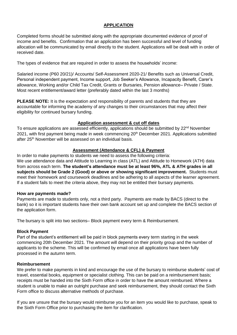#### **APPLICATION**

Completed forms should be submitted along with the appropriate documented evidence of proof of income and benefits. Confirmation that an application has been successful and level of funding allocation will be communicated by email directly to the student. Applications will be dealt with in order of received date.

The types of evidence that are required in order to assess the households' income:

Salaried income (P60 20/21)/ Accounts/ Self-Assessment 2020-21/ Benefits such as Universal Credit, Personal independent payment, Income support, Job Seeker's Allowance, Incapacity Benefit, Carer's allowance, Working and/or Child Tax Credit, Grants or Bursaries, Pension allowance– Private / State. Most recent entitlement/award letter (preferably dated within the last 3 months)

**PLEASE NOTE:** It is the expectation and responsibility of parents and students that they are accountable for informing the academy of any changes to their circumstances that may affect their eligibility for continued bursary funding.

#### **Application assessment & cut off dates**

To ensure applications are assessed efficiently, applications should be submitted by 22<sup>nd</sup> November 2021. with first payment being made in week commencing 20<sup>th</sup> December 2021. Applications submitted after 25<sup>th</sup> November will be assessed on an individual basis.

#### **Assessment (Attendance & CFL) & Payment**

In order to make payments to students we need to assess the following criteria: We use attendance data and Attitude to Learning in class (ATL) and Attitude to Homework (ATH) data from across each term. **The student's attendance must be at least 96%, ATL & ATH grades in all subjects should be Grade 2 (Good) or above or showing significant improvement.** Students must meet their homework and coursework deadlines and be adhering to all aspects of the learner agreement. If a student fails to meet the criteria above, they may not be entitled their bursary payments.

#### **How are payments made?**

Payments are made to students only, not a third party. Payments are made by BACS (direct to the bank) so it is important students have their own bank account set up and complete the BACS section of the application form.

The bursary is split into two sections– Block payment every term & Reimbursement.

#### **Block Payment**

Part of the student's entitlement will be paid in block payments every term starting in the week commencing 20th December 2021. The amount will depend on their priority group and the number of applicants to the scheme. This will be confirmed by email once all applications have been fully processed in the autumn term.

#### **Reimbursement**

We prefer to make payments in kind and encourage the use of the bursary to reimburse students' cost of travel, essential books, equipment or specialist clothing. This can be paid on a reimbursement basis; receipts must be handed into the Sixth Form office in order to have the amount reimbursed. Where a student is unable to make an outright purchase and seek reimbursement, they should contact the Sixth Form office to discuss alternative methods of purchase.

If you are unsure that the bursary would reimburse you for an item you would like to purchase, speak to the Sixth Form Office prior to purchasing the item for clarification.